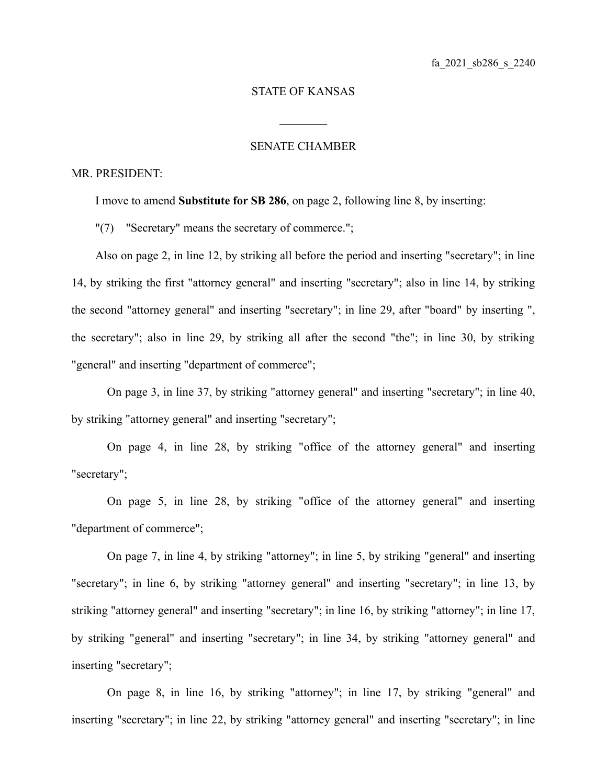## STATE OF KANSAS

 $\mathcal{L}_\text{max}$ 

## SENATE CHAMBER

## MR. PRESIDENT:

I move to amend **Substitute for SB 286**, on page 2, following line 8, by inserting:

"(7) "Secretary" means the secretary of commerce.";

Also on page 2, in line 12, by striking all before the period and inserting "secretary"; in line 14, by striking the first "attorney general" and inserting "secretary"; also in line 14, by striking the second "attorney general" and inserting "secretary"; in line 29, after "board" by inserting ", the secretary"; also in line 29, by striking all after the second "the"; in line 30, by striking "general" and inserting "department of commerce";

On page 3, in line 37, by striking "attorney general" and inserting "secretary"; in line 40, by striking "attorney general" and inserting "secretary";

On page 4, in line 28, by striking "office of the attorney general" and inserting "secretary";

On page 5, in line 28, by striking "office of the attorney general" and inserting "department of commerce";

On page 7, in line 4, by striking "attorney"; in line 5, by striking "general" and inserting "secretary"; in line 6, by striking "attorney general" and inserting "secretary"; in line 13, by striking "attorney general" and inserting "secretary"; in line 16, by striking "attorney"; in line 17, by striking "general" and inserting "secretary"; in line 34, by striking "attorney general" and inserting "secretary";

On page 8, in line 16, by striking "attorney"; in line 17, by striking "general" and inserting "secretary"; in line 22, by striking "attorney general" and inserting "secretary"; in line